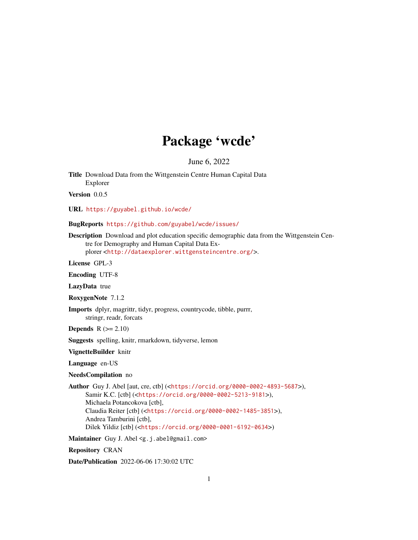# Package 'wcde'

June 6, 2022

<span id="page-0-0"></span>Title Download Data from the Wittgenstein Centre Human Capital Data Explorer

Version 0.0.5

URL <https://guyabel.github.io/wcde/>

BugReports <https://github.com/guyabel/wcde/issues/>

Description Download and plot education specific demographic data from the Wittgenstein Centre for Demography and Human Capital Data Ex-

plorer <<http://dataexplorer.wittgensteincentre.org/>>.

License GPL-3

Encoding UTF-8

LazyData true

RoxygenNote 7.1.2

Imports dplyr, magrittr, tidyr, progress, countrycode, tibble, purrr, stringr, readr, forcats

**Depends**  $R$  ( $>= 2.10$ )

Suggests spelling, knitr, rmarkdown, tidyverse, lemon

VignetteBuilder knitr

Language en-US

#### NeedsCompilation no

Author Guy J. Abel [aut, cre, ctb] (<<https://orcid.org/0000-0002-4893-5687>>), Samir K.C. [ctb] (<<https://orcid.org/0000-0002-5213-9181>>), Michaela Potancokova [ctb], Claudia Reiter [ctb] (<<https://orcid.org/0000-0002-1485-3851>>), Andrea Tamburini [ctb], Dilek Yildiz [ctb] (<<https://orcid.org/0000-0001-6192-0634>>)

Maintainer Guy J. Abel <g.j.abel@gmail.com>

Repository CRAN

Date/Publication 2022-06-06 17:30:02 UTC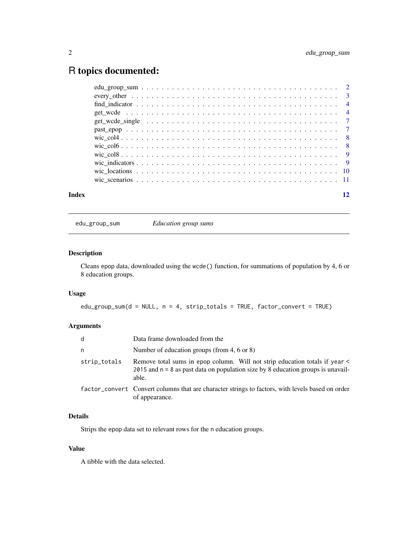## <span id="page-1-0"></span>R topics documented:

| Index | 12 |
|-------|----|

edu\_group\_sum *Education group sums*

### Description

Cleans epop data, downloaded using the wcde() function, for summations of population by 4, 6 or 8 education groups.

#### Usage

edu\_group\_sum(d = NULL, n = 4, strip\_totals = TRUE, factor\_convert = TRUE)

#### Arguments

| d            | Data frame downloaded from the                                                                                                                                             |  |
|--------------|----------------------------------------------------------------------------------------------------------------------------------------------------------------------------|--|
| n            | Number of education groups (from 4, 6 or 8)                                                                                                                                |  |
| strip_totals | Remove total sums in epop column. Will not strip education totals if year <<br>2015 and $n = 8$ as past data on population size by 8 education groups is unavail-<br>able. |  |
|              | factor_convert Convert columns that are character strings to factors, with levels based on order<br>of appearance.                                                         |  |

#### Details

Strips the epop data set to relevant rows for the n education groups.

#### Value

A tibble with the data selected.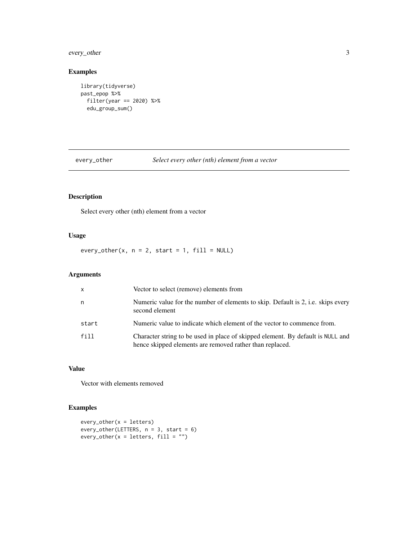### <span id="page-2-0"></span>every\_other 3

#### Examples

```
library(tidyverse)
past_epop %>%
  filter(year == 2020) %>%
  edu_group_sum()
```
every\_other *Select every other (nth) element from a vector*

#### Description

Select every other (nth) element from a vector

#### Usage

every\_other(x,  $n = 2$ , start = 1, fill = NULL)

#### Arguments

| $\mathsf{x}$ | Vector to select (remove) elements from                                                                                                     |
|--------------|---------------------------------------------------------------------------------------------------------------------------------------------|
| n            | Numeric value for the number of elements to skip. Default is 2, i.e. skips every<br>second element                                          |
| start        | Numeric value to indicate which element of the vector to commence from.                                                                     |
| fill         | Character string to be used in place of skipped element. By default is NULL and<br>hence skipped elements are removed rather than replaced. |

#### Value

Vector with elements removed

#### Examples

```
every_other(x = letters)
every_other(LETTERS, n = 3, start = 6)
every_other(x = letters, fill = "")
```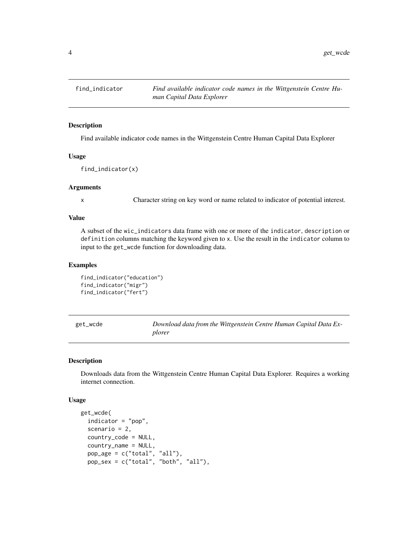<span id="page-3-0"></span>4 get\_wcde = 0.000 minutes = 0.000 minutes = 0.000 minutes = 0.000 minutes = 0.000 minutes = 0.000 minutes = 0.000 minutes = 0.000 minutes = 0.000 minutes = 0.000 minutes = 0.000 minutes = 0.000 minutes = 0.000 minutes = 0

find\_indicator *Find available indicator code names in the Wittgenstein Centre Human Capital Data Explorer*

#### Description

Find available indicator code names in the Wittgenstein Centre Human Capital Data Explorer

#### Usage

find\_indicator(x)

#### Arguments

x Character string on key word or name related to indicator of potential interest.

#### Value

A subset of the wic\_indicators data frame with one or more of the indicator, description or definition columns matching the keyword given to x. Use the result in the indicator column to input to the get\_wcde function for downloading data.

#### Examples

```
find_indicator("education")
find_indicator("migr")
find_indicator("fert")
```
get\_wcde *Download data from the Wittgenstein Centre Human Capital Data Explorer*

#### Description

Downloads data from the Wittgenstein Centre Human Capital Data Explorer. Requires a working internet connection.

#### Usage

```
get_wcde(
  indicator = "pop",
  scenario = 2,
  country_code = NULL,
  country_name = NULL,
  pop_age = c("total", "all"),
 pop_sex = c("total", "both", "all"),
```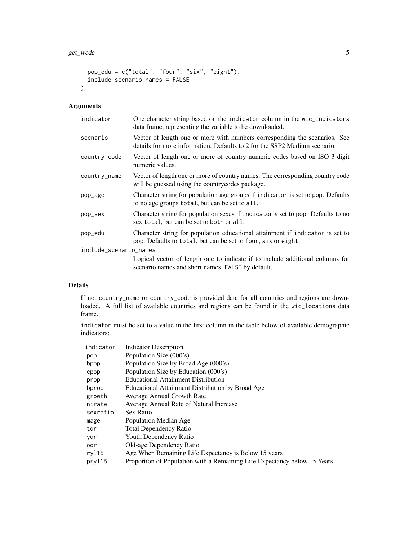```
pop_edu = c("total", "four", "six", "eight"),
 include_scenario_names = FALSE
\lambda
```
#### Arguments

| One character string based on the indicator column in the wic_indicators<br>data frame, representing the variable to be downloaded.                     |
|---------------------------------------------------------------------------------------------------------------------------------------------------------|
| Vector of length one or more with numbers corresponding the scenarios. See<br>details for more information. Defaults to 2 for the SSP2 Medium scenario. |
| Vector of length one or more of country numeric codes based on ISO 3 digit<br>numeric values.                                                           |
| Vector of length one or more of country names. The corresponding country code<br>will be guessed using the countrycodes package.                        |
| Character string for population age groups if indicator is set to pop. Defaults<br>to no age groups total, but can be set to all.                       |
| Character string for population sexes if indicatoris set to pop. Defaults to no<br>sex total, but can be set to both or all.                            |
| Character string for population educational attainment if indicator is set to<br>pop. Defaults to total, but can be set to four, six or eight.          |
| include_scenario_names                                                                                                                                  |
| Logical vector of length one to indicate if to include additional columns for                                                                           |
|                                                                                                                                                         |

scenario names and short names. FALSE by default.

### Details

If not country\_name or country\_code is provided data for all countries and regions are downloaded. A full list of available countries and regions can be found in the wic\_locations data frame.

indicator must be set to a value in the first column in the table below of available demographic indicators:

| indicator | <b>Indicator Description</b>                                             |
|-----------|--------------------------------------------------------------------------|
| pop       | Population Size (000's)                                                  |
| bpop      | Population Size by Broad Age (000's)                                     |
| epop      | Population Size by Education (000's)                                     |
| prop      | <b>Educational Attainment Distribution</b>                               |
| bprop     | Educational Attainment Distribution by Broad Age                         |
| growth    | Average Annual Growth Rate                                               |
| nirate    | Average Annual Rate of Natural Increase                                  |
| sexratio  | Sex Ratio                                                                |
| mage      | Population Median Age                                                    |
| tdr       | Total Dependency Ratio                                                   |
| ydr       | Youth Dependency Ratio                                                   |
| odr       | Old-age Dependency Ratio                                                 |
| ryl15     | Age When Remaining Life Expectancy is Below 15 years                     |
| pryl15    | Proportion of Population with a Remaining Life Expectancy below 15 Years |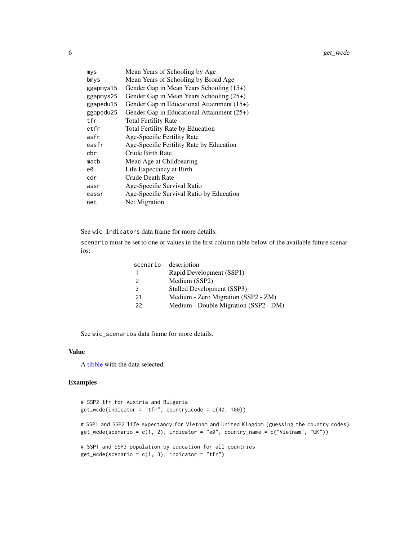<span id="page-5-0"></span>

| mys       | Mean Years of Schooling by Age               |
|-----------|----------------------------------------------|
| bmys      | Mean Years of Schooling by Broad Age         |
| ggapmys15 | Gender Gap in Mean Years Schooling (15+)     |
| ggapmys25 | Gender Gap in Mean Years Schooling (25+)     |
| ggapedu15 | Gender Gap in Educational Attainment $(15+)$ |
| ggapedu25 | Gender Gap in Educational Attainment $(25+)$ |
| tfr       | <b>Total Fertility Rate</b>                  |
| etfr      | <b>Total Fertility Rate by Education</b>     |
| asfr      | Age-Specific Fertility Rate                  |
| easfr     | Age-Specific Fertility Rate by Education     |
| cbr       | Crude Birth Rate                             |
| macb      | Mean Age at Childbearing                     |
| e0        | Life Expectancy at Birth                     |
| cdr       | Crude Death Rate                             |
| assr      | Age-Specific Survival Ratio                  |
| eassr     | Age-Specific Survival Ratio by Education     |
| net       | Net Migration                                |

See wic\_indicators data frame for more details.

scenario must be set to one or values in the first column table below of the available future scenarios:

| scenario      | description                           |
|---------------|---------------------------------------|
|               | Rapid Development (SSP1)              |
| $\mathcal{P}$ | Medium (SSP2)                         |
| 3             | Stalled Development (SSP3)            |
| 21            | Medium - Zero Migration (SSP2 - ZM)   |
| 22            | Medium - Double Migration (SSP2 - DM) |

See wic\_scenarios data frame for more details.

#### Value

A [tibble](#page-0-0) with the data selected.

#### Examples

```
# SSP2 tfr for Austria and Bulgaria
get\_wcde(indication = "tfr", country\_code = c(40, 100))# SSP1 and SSP2 life expectancy for Vietnam and United Kingdom (guessing the country codes)
get_wcde(scenario = c(1, 2), indicator = "e0", country_name = c("Vietnam", "UK"))
# SSP1 and SSP3 population by education for all countries
get\_wede(scenario = c(1, 3), indicator = "tfr")
```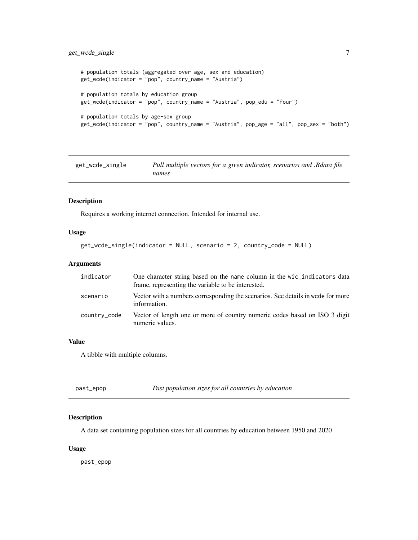#### <span id="page-6-0"></span>get\_wcde\_single 7

```
# population totals (aggregated over age, sex and education)
get_wcde(indicator = "pop", country_name = "Austria")
# population totals by education group
get_wcde(indicator = "pop", country_name = "Austria", pop_edu = "four")
# population totals by age-sex group
get_wcde(indicator = "pop", country_name = "Austria", pop_age = "all", pop_sex = "both")
```
get\_wcde\_single *Pull multiple vectors for a given indicator, scenarios and .Rdata file names*

#### Description

Requires a working internet connection. Intended for internal use.

#### Usage

```
get_wcde_single(indicator = NULL, scenario = 2, country_code = NULL)
```
#### Arguments

| indicator    | One character string based on the name column in the wic_indicators data<br>frame, representing the variable to be interested. |
|--------------|--------------------------------------------------------------------------------------------------------------------------------|
| scenario     | Vector with a numbers corresponding the scenarios. See details in worde for more<br>information.                               |
| country_code | Vector of length one or more of country numeric codes based on ISO 3 digit<br>numeric values.                                  |

#### Value

A tibble with multiple columns.

| Past population sizes for all countries by education<br>past_epop |  |
|-------------------------------------------------------------------|--|
|-------------------------------------------------------------------|--|

#### Description

A data set containing population sizes for all countries by education between 1950 and 2020

#### Usage

past\_epop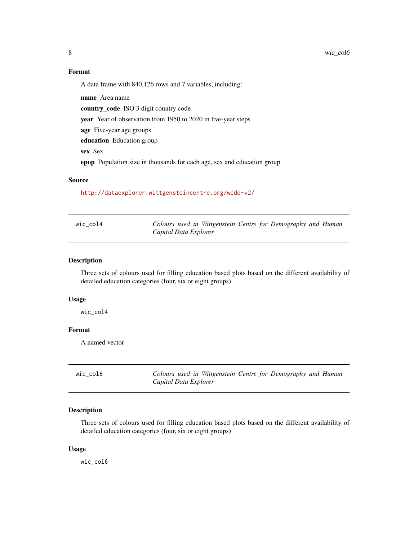#### <span id="page-7-0"></span>Format

A data frame with 840,126 rows and 7 variables, including:

name Area name country\_code ISO 3 digit country code year Year of observation from 1950 to 2020 in five-year steps age Five-year age groups education Education group sex Sex epop Population size in thousands for each age, sex and education group

#### Source

<http://dataexplorer.wittgensteincentre.org/wcde-v2/>

| wic_col4 | Colours used in Wittgenstein Centre for Demography and Human |
|----------|--------------------------------------------------------------|
|          | Capital Data Explorer                                        |

#### Description

Three sets of colours used for filling education based plots based on the different availability of detailed education categories (four, six or eight groups)

#### Usage

wic\_col4

#### Format

A named vector

| wic col6 | Colours used in Wittgenstein Centre for Demography and Human |
|----------|--------------------------------------------------------------|
|          | Capital Data Explorer                                        |

#### Description

Three sets of colours used for filling education based plots based on the different availability of detailed education categories (four, six or eight groups)

#### Usage

wic\_col6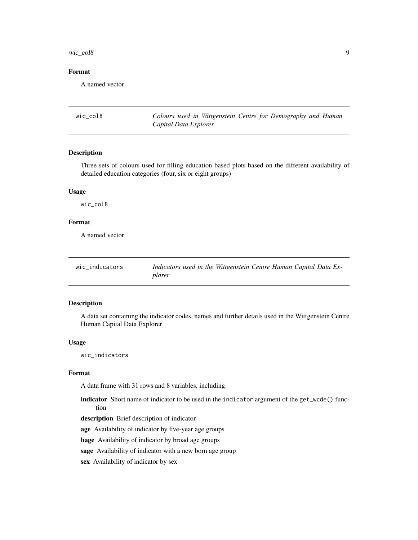<span id="page-8-0"></span> $\text{wic}\text{\_}col8$  9

#### Format

A named vector

wic\_col8 *Colours used in Wittgenstein Centre for Demography and Human Capital Data Explorer*

#### Description

Three sets of colours used for filling education based plots based on the different availability of detailed education categories (four, six or eight groups)

#### Usage

wic\_col8

### Format

A named vector

| wic indicators | Indicators used in the Wittgenstein Centre Human Capital Data Ex- |
|----------------|-------------------------------------------------------------------|
|                | plorer                                                            |

#### Description

A data set containing the indicator codes, names and further details used in the Wittgenstein Centre Human Capital Data Explorer

#### Usage

wic\_indicators

#### Format

A data frame with 31 rows and 8 variables, including:

- indicator Short name of indicator to be used in the indicator argument of the get\_wcde() function
- description Brief description of indicator

age Availability of indicator by five-year age groups

bage Availability of indicator by broad age groups

sage Availability of indicator with a new born age group

sex Availability of indicator by sex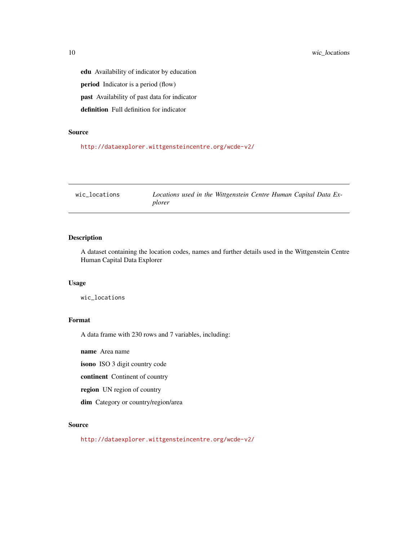edu Availability of indicator by education period Indicator is a period (flow) past Availability of past data for indicator definition Full definition for indicator

#### Source

<http://dataexplorer.wittgensteincentre.org/wcde-v2/>

| wic locations | Locations used in the Wittgenstein Centre Human Capital Data Ex- |  |
|---------------|------------------------------------------------------------------|--|
|               | plorer                                                           |  |

#### Description

A dataset containing the location codes, names and further details used in the Wittgenstein Centre Human Capital Data Explorer

#### Usage

wic\_locations

#### Format

A data frame with 230 rows and 7 variables, including:

name Area name

isono ISO 3 digit country code

continent Continent of country

region UN region of country

dim Category or country/region/area

#### Source

<http://dataexplorer.wittgensteincentre.org/wcde-v2/>

<span id="page-9-0"></span>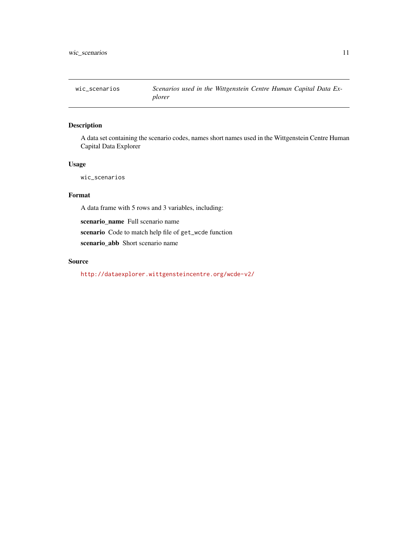<span id="page-10-0"></span>

#### Description

A data set containing the scenario codes, names short names used in the Wittgenstein Centre Human Capital Data Explorer

#### Usage

wic\_scenarios

### Format

A data frame with 5 rows and 3 variables, including:

scenario\_name Full scenario name scenario Code to match help file of get\_wcde function scenario\_abb Short scenario name

#### Source

<http://dataexplorer.wittgensteincentre.org/wcde-v2/>